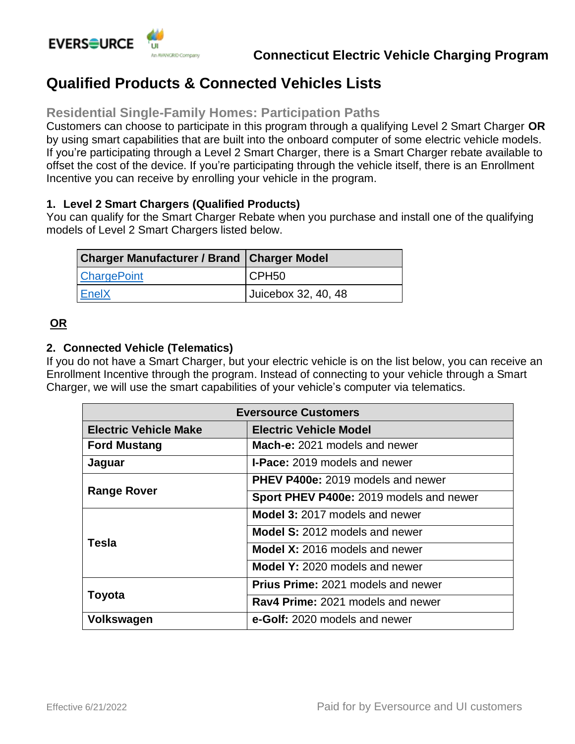

# **Qualified Products & Connected Vehicles Lists**

## **Residential Single-Family Homes: Participation Paths**

Customers can choose to participate in this program through a qualifying Level 2 Smart Charger **OR** by using smart capabilities that are built into the onboard computer of some electric vehicle models. If you're participating through a Level 2 Smart Charger, there is a Smart Charger rebate available to offset the cost of the device. If you're participating through the vehicle itself, there is an Enrollment Incentive you can receive by enrolling your vehicle in the program.

### **1. Level 2 Smart Chargers (Qualified Products)**

You can qualify for the Smart Charger Rebate when you purchase and install one of the qualifying models of Level 2 Smart Chargers listed below.

| Charger Manufacturer / Brand   Charger Model |                     |
|----------------------------------------------|---------------------|
| <b>ChargePoint</b>                           | CPH <sub>50</sub>   |
| EnelX                                        | Juicebox 32, 40, 48 |

## **OR**

#### **2. Connected Vehicle (Telematics)**

If you do not have a Smart Charger, but your electric vehicle is on the list below, you can receive an Enrollment Incentive through the program. Instead of connecting to your vehicle through a Smart Charger, we will use the smart capabilities of your vehicle's computer via telematics.

| <b>Eversource Customers</b>  |                                           |
|------------------------------|-------------------------------------------|
| <b>Electric Vehicle Make</b> | <b>Electric Vehicle Model</b>             |
| <b>Ford Mustang</b>          | Mach-e: 2021 models and newer             |
| Jaguar                       | <b>I-Pace:</b> 2019 models and newer      |
| <b>Range Rover</b>           | <b>PHEV P400e:</b> 2019 models and newer  |
|                              | Sport PHEV P400e: 2019 models and newer   |
| <b>Tesla</b>                 | <b>Model 3: 2017 models and newer</b>     |
|                              | <b>Model S: 2012 models and newer</b>     |
|                              | <b>Model X: 2016 models and newer</b>     |
|                              | Model Y: 2020 models and newer            |
| <b>Toyota</b>                | <b>Prius Prime: 2021 models and newer</b> |
|                              | Rav4 Prime: 2021 models and newer         |
| <b>Volkswagen</b>            | e-Golf: 2020 models and newer             |